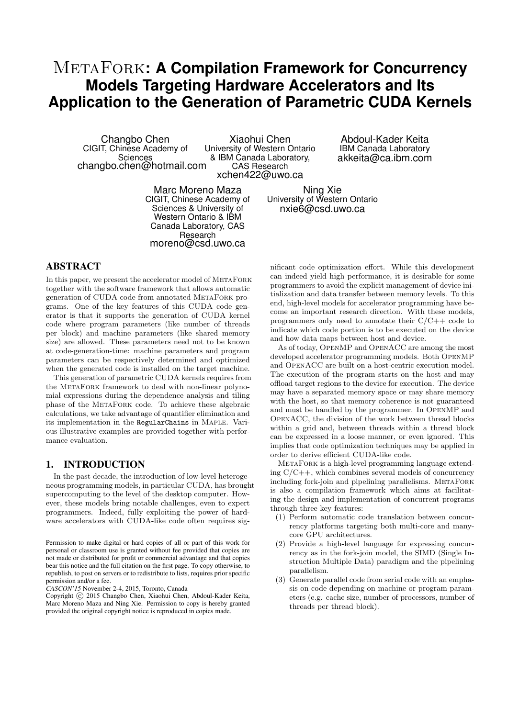# **METAFORK: A Compilation Framework for Concurrency Models Targeting Hardware Accelerators and Its Application to the Generation of Parametric CUDA Kernels**

Changbo Chen CIGIT, Chinese Academy of Sciences changbo.chen@hotmail.com

Xiaohui Chen University of Western Ontario & IBM Canada Laboratory, CAS Research xchen422@uwo.ca

Abdoul-Kader Keita IBM Canada Laboratory akkeita@ca.ibm.com

Marc Moreno Maza CIGIT, Chinese Academy of Sciences & University of Western Ontario & IBM Canada Laboratory, CAS Research moreno@csd.uwo.ca

Ning Xie University of Western Ontario nxie6@csd.uwo.ca

# ABSTRACT

In this paper, we present the accelerator model of METAFORK together with the software framework that allows automatic generation of CUDA code from annotated MetaFork programs. One of the key features of this CUDA code generator is that it supports the generation of CUDA kernel code where program parameters (like number of threads per block) and machine parameters (like shared memory size) are allowed. These parameters need not to be known at code-generation-time: machine parameters and program parameters can be respectively determined and optimized when the generated code is installed on the target machine.

This generation of parametric CUDA kernels requires from the MetaFork framework to deal with non-linear polynomial expressions during the dependence analysis and tiling phase of the MetaFork code. To achieve these algebraic calculations, we take advantage of quantifier elimination and its implementation in the RegularChains in Maple. Various illustrative examples are provided together with performance evaluation.

## 1. INTRODUCTION

In the past decade, the introduction of low-level heterogeneous programming models, in particular CUDA, has brought supercomputing to the level of the desktop computer. However, these models bring notable challenges, even to expert programmers. Indeed, fully exploiting the power of hardware accelerators with CUDA-like code often requires sig-

*CASCON'15* November 2-4, 2015, Toronto, Canada

Copyright (C) 2015 Changbo Chen, Xiaohui Chen, Abdoul-Kader Keita, Marc Moreno Maza and Ning Xie. Permission to copy is hereby granted provided the original copyright notice is reproduced in copies made.

nificant code optimization effort. While this development can indeed yield high performance, it is desirable for some programmers to avoid the explicit management of device initialization and data transfer between memory levels. To this end, high-level models for accelerator programming have become an important research direction. With these models, programmers only need to annotate their  $C/C++$  code to indicate which code portion is to be executed on the device and how data maps between host and device.

As of today, OpenMP and OpenACC are among the most developed accelerator programming models. Both OpenMP and OpenACC are built on a host-centric execution model. The execution of the program starts on the host and may offload target regions to the device for execution. The device may have a separated memory space or may share memory with the host, so that memory coherence is not guaranteed and must be handled by the programmer. In OpenMP and OpenACC, the division of the work between thread blocks within a grid and, between threads within a thread block can be expressed in a loose manner, or even ignored. This implies that code optimization techniques may be applied in order to derive efficient CUDA-like code.

METAFORK is a high-level programming language extending  $C/C++$ , which combines several models of concurrency including fork-join and pipelining parallelisms. METAFORK is also a compilation framework which aims at facilitating the design and implementation of concurrent programs through three key features:

- (1) Perform automatic code translation between concurrency platforms targeting both multi-core and manycore GPU architectures.
- (2) Provide a high-level language for expressing concurrency as in the fork-join model, the SIMD (Single Instruction Multiple Data) paradigm and the pipelining parallelism.
- (3) Generate parallel code from serial code with an emphasis on code depending on machine or program parameters (e.g. cache size, number of processors, number of threads per thread block).

Permission to make digital or hard copies of all or part of this work for personal or classroom use is granted without fee provided that copies are not made or distributed for profit or commercial advantage and that copies bear this notice and the full citation on the first page. To copy otherwise, to republish, to post on servers or to redistribute to lists, requires prior specific permission and/or a fee.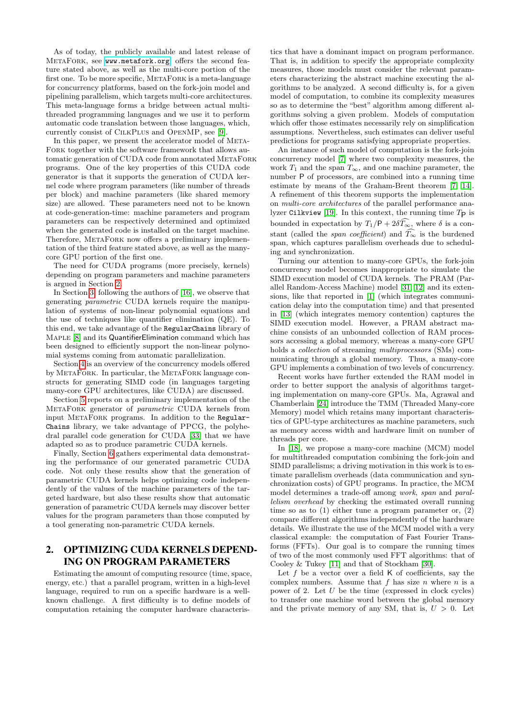As of today, the publicly available and latest release of MetaFork, see <www.metafork.org>, offers the second feature stated above, as well as the multi-core portion of the first one. To be more specific, METAFORK is a meta-language for concurrency platforms, based on the fork-join model and pipelining parallelism, which targets multi-core architectures. This meta-language forms a bridge between actual multithreaded programming languages and we use it to perform automatic code translation between those languages, which, currently consist of CilkPlus and OpenMP, see [\[9\]](#page-9-0).

In this paper, we present the accelerator model of META-Fork together with the software framework that allows automatic generation of CUDA code from annotated METAFORK programs. One of the key properties of this CUDA code generator is that it supports the generation of CUDA kernel code where program parameters (like number of threads per block) and machine parameters (like shared memory size) are allowed. These parameters need not to be known at code-generation-time: machine parameters and program parameters can be respectively determined and optimized when the generated code is installed on the target machine. Therefore, METAFORK now offers a preliminary implementation of the third feature stated above, as well as the manycore GPU portion of the first one.

The need for CUDA programs (more precisely, kernels) depending on program parameters and machine parameters is argued in Section [2.](#page-1-0)

In Section [3,](#page-2-0) following the authors of [\[16\]](#page-9-1), we observe that generating parametric CUDA kernels require the manipulation of systems of non-linear polynomial equations and the use of techniques like quantifier elimination (QE). To this end, we take advantage of the RegularChains library of MAPLE [\[8\]](#page-9-2) and its QuantifierElimination command which has been designed to efficiently support the non-linear polynomial systems coming from automatic parallelization.

Section [4](#page-4-0) is an overview of the concurrency models offered by METAFORK. In particular, the METAFORK language constructs for generating SIMD code (in languages targeting many-core GPU architectures, like CUDA) are discussed.

Section [5](#page-5-0) reports on a preliminary implementation of the MetaFork generator of parametric CUDA kernels from input MetaFork programs. In addition to the Regular-Chains library, we take advantage of PPCG, the polyhedral parallel code generation for CUDA [\[33\]](#page-9-3) that we have adapted so as to produce parametric CUDA kernels.

Finally, Section [6](#page-6-0) gathers experimental data demonstrating the performance of our generated parametric CUDA code. Not only these results show that the generation of parametric CUDA kernels helps optimizing code independently of the values of the machine parameters of the targeted hardware, but also these results show that automatic generation of parametric CUDA kernels may discover better values for the program parameters than those computed by a tool generating non-parametric CUDA kernels.

## <span id="page-1-0"></span>2. OPTIMIZING CUDA KERNELS DEPEND-ING ON PROGRAM PARAMETERS

Estimating the amount of computing resource (time, space, energy, etc.) that a parallel program, written in a high-level language, required to run on a specific hardware is a wellknown challenge. A first difficulty is to define models of computation retaining the computer hardware characteris-

tics that have a dominant impact on program performance. That is, in addition to specify the appropriate complexity measures, those models must consider the relevant parameters characterizing the abstract machine executing the algorithms to be analyzed. A second difficulty is, for a given model of computation, to combine its complexity measures so as to determine the "best" algorithm among different algorithms solving a given problem. Models of computation which offer those estimates necessarily rely on simplification assumptions. Nevertheless, such estimates can deliver useful predictions for programs satisfying appropriate properties.

An instance of such model of computation is the fork-join concurrency model [\[7\]](#page-9-4) where two complexity measures, the work  $T_1$  and the span  $T_{\infty}$ , and one machine parameter, the number P of processors, are combined into a running time estimate by means of the Graham-Brent theorem [\[7,](#page-9-4) [14\]](#page-9-5). A refinement of this theorem supports the implementation on multi-core architectures of the parallel performance ana-lyzer Cilkview [\[19\]](#page-9-6). In this context, the running time  $T_{\mathsf{P}}$  is bounded in expectation by  $T_1/P + 2\delta T_{\infty}$ , where  $\delta$  is a constant (called the *span coefficient*) and  $T_{\infty}$  is the burdened span, which captures parallelism overheads due to scheduling and synchronization.

Turning our attention to many-core GPUs, the fork-join concurrency model becomes inappropriate to simulate the SIMD execution model of CUDA kernels. The PRAM (Parallel Random-Access Machine) model [\[31,](#page-9-7) [12\]](#page-9-8) and its extensions, like that reported in [\[1\]](#page-8-0) (which integrates communication delay into the computation time) and that presented in [\[13\]](#page-9-9) (which integrates memory contention) captures the SIMD execution model. However, a PRAM abstract machine consists of an unbounded collection of RAM processors accessing a global memory, whereas a many-core GPU holds a collection of streaming multiprocessors (SMs) communicating through a global memory. Thus, a many-core GPU implements a combination of two levels of concurrency.

Recent works have further extended the RAM model in order to better support the analysis of algorithms targeting implementation on many-core GPUs. Ma, Agrawal and Chamberlain [\[24\]](#page-9-10) introduce the TMM (Threaded Many-core Memory) model which retains many important characteristics of GPU-type architectures as machine parameters, such as memory access width and hardware limit on number of threads per core.

In [\[18\]](#page-9-11), we propose a many-core machine (MCM) model for multithreaded computation combining the fork-join and SIMD parallelisms; a driving motivation in this work is to estimate parallelism overheads (data communication and synchronization costs) of GPU programs. In practice, the MCM model determines a trade-off among work, span and parallelism overhead by checking the estimated overall running time so as to (1) either tune a program parameter or, (2) compare different algorithms independently of the hardware details. We illustrate the use of the MCM model with a very classical example: the computation of Fast Fourier Transforms (FFTs). Our goal is to compare the running times of two of the most commonly used FFT algorithms: that of Cooley & Tukey [\[11\]](#page-9-12) and that of Stockham [\[30\]](#page-9-13).

Let  $f$  be a vector over a field  $K$  of coefficients, say the complex numbers. Assume that f has size n where n is a power of 2. Let  $U$  be the time (expressed in clock cycles) to transfer one machine word between the global memory and the private memory of any SM, that is,  $U > 0$ . Let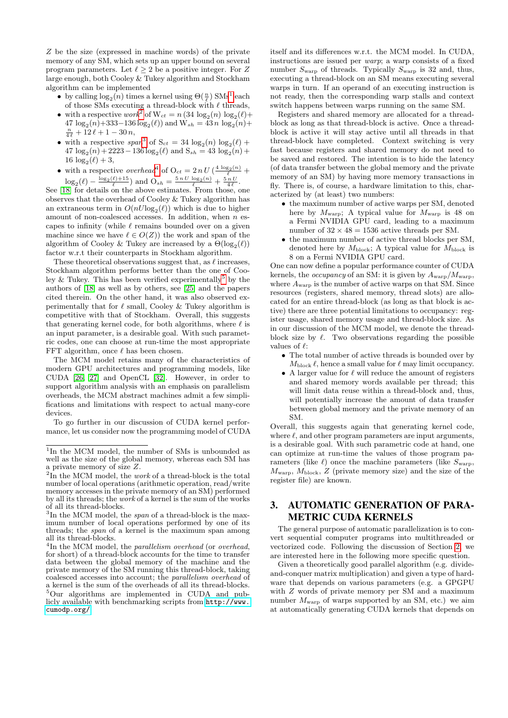Z be the size (expressed in machine words) of the private memory of any SM, which sets up an upper bound on several program parameters. Let  $\ell > 2$  be a positive integer. For Z large enough, both Cooley & Tukey algorithm and Stockham algorithm can be implemented

- by calling  $\log_2(n)$  times a kernel using  $\Theta(\frac{n}{\ell})$  SMs<sup>[1](#page-2-1)</sup> each of those SMs executing a thread-block with  $\ell$  threads,
- with a respective  $work^2$  $work^2$  of  $W_{ct} = n(34 \log_2(n) \log_2(\ell) +$  $47 \log_2(n) + 333 - 136 \log_2(\ell)$  and  $W_{sh} = 43 n \log_2(n) +$  $\frac{n}{4 \ell} + 12 \ell + 1 - 30 n,$
- with a respective  $span^3$  $span^3$  of  $S_{ct} = 34 \log_2(n) \log_2(\ell) +$  $47 \log_2(n) + 2223 - 136 \log_2(\ell)$  and  $S_{sh} = 43 \log_2(n) +$  $16 \log_2(\ell) + 3,$
- with a respective *overhead*<sup>[4](#page-2-4)</sup> of  $O_{ct} = 2 n U \left(\frac{4 \log_2(n)}{\ell} + \right)$  $\log_2(\ell) - \frac{\log_2(\ell) + 15}{\ell}$  and  $\mathcal{O}_{sh} = \frac{5 n U \log_2(n)}{\ell} + \frac{5 n U}{4 \ell}.$

See [\[18\]](#page-9-11) for details on the above estimates. From those, one observes that the overhead of Cooley & Tukey algorithm has an extraneous term in  $O(nU \log_2(\ell))$  which is due to higher amount of non-coalesced accesses. In addition, when n escapes to infinity (while  $\ell$  remains bounded over on a given machine since we have  $\ell \in O(Z)$ ) the work and span of the algorithm of Cooley & Tukey are increased by a  $\Theta(\log_2(\ell))$ factor w.r.t their counterparts in Stockham algorithm.

These theoretical observations suggest that, as  $\ell$  increases, Stockham algorithm performs better than the one of Coo-ley & Tukey. This has been verified experimentally<sup>[5](#page-2-5)</sup> by the authors of [\[18\]](#page-9-11) as well as by others, see [\[25\]](#page-9-14) and the papers cited therein. On the other hand, it was also observed experimentally that for  $\ell$  small, Cooley & Tukey algorithm is competitive with that of Stockham. Overall, this suggests that generating kernel code, for both algorithms, where  $\ell$  is an input parameter, is a desirable goal. With such parametric codes, one can choose at run-time the most appropriate FFT algorithm, once  $\ell$  has been chosen.

The MCM model retains many of the characteristics of modern GPU architectures and programming models, like CUDA [\[26,](#page-9-15) [27\]](#page-9-16) and OpenCL [\[32\]](#page-9-17). However, in order to support algorithm analysis with an emphasis on parallelism overheads, the MCM abstract machines admit a few simplifications and limitations with respect to actual many-core devices.

To go further in our discussion of CUDA kernel performance, let us consider now the programming model of CUDA itself and its differences w.r.t. the MCM model. In CUDA, instructions are issued per warp; a warp consists of a fixed number  $S_{\text{warp}}$  of threads. Typically  $S_{\text{warp}}$  is 32 and, thus, executing a thread-block on an SM means executing several warps in turn. If an operand of an executing instruction is not ready, then the corresponding warp stalls and context switch happens between warps running on the same SM.

Registers and shared memory are allocated for a threadblock as long as that thread-block is active. Once a threadblock is active it will stay active until all threads in that thread-block have completed. Context switching is very fast because registers and shared memory do not need to be saved and restored. The intention is to hide the latency (of data transfer between the global memory and the private memory of an SM) by having more memory transactions in fly. There is, of course, a hardware limitation to this, characterized by (at least) two numbers:

- the maximum number of active warps per SM, denoted here by  $M_{\text{warp}}$ ; A typical value for  $M_{\text{warp}}$  is 48 on a Fermi NVIDIA GPU card, leading to a maximum number of  $32 \times 48 = 1536$  active threads per SM.
- the maximum number of active thread blocks per SM, denoted here by  $M_{\text{block}}$ ; A typical value for  $M_{\text{block}}$  is 8 on a Fermi NVIDIA GPU card.

One can now define a popular performance counter of CUDA kernels, the *occupancy* of an SM: it is given by  $A_{\text{warp}}/M_{\text{warp}}$ , where  $A_{\text{warp}}$  is the number of active warps on that SM. Since resources (registers, shared memory, thread slots) are allocated for an entire thread-block (as long as that block is active) there are three potential limitations to occupancy: register usage, shared memory usage and thread-block size. As in our discussion of the MCM model, we denote the threadblock size by  $\ell$ . Two observations regarding the possible values of  $\ell$ :

- The total number of active threads is bounded over by  $M_{\text{block}} \ell$ , hence a small value for  $\ell$  may limit occupancy.
- A larger value for  $\ell$  will reduce the amount of registers and shared memory words available per thread; this will limit data reuse within a thread-block and, thus, will potentially increase the amount of data transfer between global memory and the private memory of an SM.

Overall, this suggests again that generating kernel code, where  $\ell$ , and other program parameters are input arguments, is a desirable goal. With such parametric code at hand, one can optimize at run-time the values of those program parameters (like  $\ell$ ) once the machine parameters (like  $S_{\text{warp}}$ ,  $M_{\rm warp}$ ,  $M_{\rm block}$ ,  $Z$  (private memory size) and the size of the register file) are known.

# <span id="page-2-0"></span>3. AUTOMATIC GENERATION OF PARA-METRIC CUDA KERNELS

The general purpose of automatic parallelization is to convert sequential computer programs into multithreaded or vectorized code. Following the discussion of Section [2,](#page-1-0) we are interested here in the following more specific question.

Given a theoretically good parallel algorithm (e.g. divideand-conquer matrix multiplication) and given a type of hardware that depends on various parameters (e.g. a GPGPU with Z words of private memory per SM and a maximum number  $M_{\text{warp}}$  of warps supported by an SM, etc.) we aim at automatically generating CUDA kernels that depends on

<span id="page-2-1"></span><sup>&</sup>lt;sup>1</sup>In the MCM model, the number of SMs is unbounded as well as the size of the global memory, whereas each SM has a private memory of size Z.

<span id="page-2-2"></span> $2\text{In the MCM model, the work of a thread-block is the total}$ number of local operations (arithmetic operation, read/write memory accesses in the private memory of an SM) performed by all its threads; the work of a kernel is the sum of the works of all its thread-blocks.

<span id="page-2-3"></span><sup>&</sup>lt;sup>3</sup>In the MCM model, the *span* of a thread-block is the maximum number of local operations performed by one of its threads; the span of a kernel is the maximum span among all its thread-blocks.

<span id="page-2-5"></span><span id="page-2-4"></span> ${}^{4}$ In the MCM model, the *parallelism overhead* (or *overhead*, for short) of a thread-block accounts for the time to transfer data between the global memory of the machine and the private memory of the SM running this thread-block, taking coalesced accesses into account; the parallelism overhead of a kernel is the sum of the overheads of all its thread-blocks. <sup>5</sup>Our algorithms are implemented in CUDA and publicly available with benchmarking scripts from [http://www.](http://www.cumodp.org/) [cumodp.org/](http://www.cumodp.org/).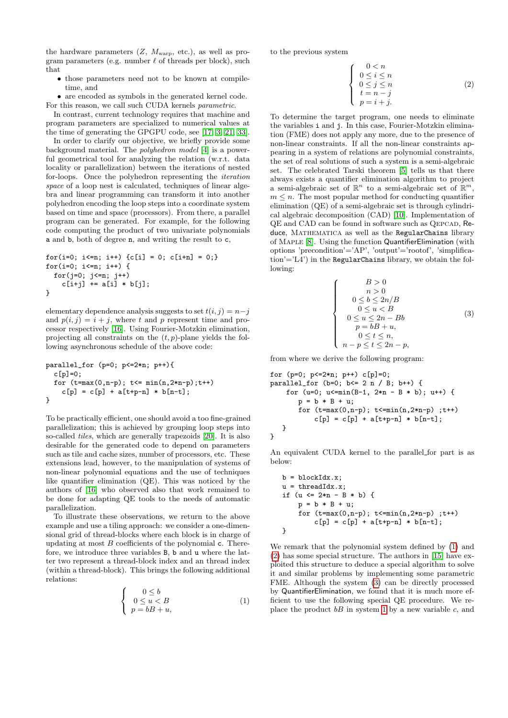the hardware parameters  $(Z, M_{\text{warp}}, \text{etc.})$ , as well as program parameters (e.g. number  $\ell$  of threads per block), such that

- those parameters need not to be known at compiletime, and
- are encoded as symbols in the generated kernel code. For this reason, we call such CUDA kernels parametric.

In contrast, current technology requires that machine and program parameters are specialized to numerical values at the time of generating the GPGPU code, see [\[17,](#page-9-18) [3,](#page-8-1) [21,](#page-9-19) [33\]](#page-9-3).

In order to clarify our objective, we briefly provide some background material. The polyhedron model [\[4\]](#page-8-2) is a powerful geometrical tool for analyzing the relation (w.r.t. data locality or parallelization) between the iterations of nested for-loops. Once the polyhedron representing the iteration space of a loop nest is calculated, techniques of linear algebra and linear programming can transform it into another polyhedron encoding the loop steps into a coordinate system based on time and space (processors). From there, a parallel program can be generated. For example, for the following code computing the product of two univariate polynomials a and b, both of degree n, and writing the result to c,

```
for(i=0; i <= n; i ++) {c[i] = 0; c[i +n] = 0; }
for(i=0; i <= n; i ++) {
  for(j=0; j<=n; j++)c[i+j] += a[i] * b[j];
}
```
elementary dependence analysis suggests to set  $t(i, j) = n-j$ and  $p(i, j) = i + j$ , where t and p represent time and processor respectively [\[16\]](#page-9-1). Using Fourier-Motzkin elimination, projecting all constraints on the  $(t, p)$ -plane yields the following asynchronous schedule of the above code:

$$
\begin{array}{l} \texttt{parallel\_for (p=0; p<=2*n; p++)} \{ \\ c[p]=0; \\ \texttt{for (t=max(0, n-p); t<= min(n, 2*n-p); t++)} \\ c[p] = c[p] + a[t+p-n] * b[n-t]; \end{array}
$$

To be practically efficient, one should avoid a too fine-grained parallelization; this is achieved by grouping loop steps into so-called tiles, which are generally trapezoids [\[20\]](#page-9-20). It is also desirable for the generated code to depend on parameters such as tile and cache sizes, number of processors, etc. These extensions lead, however, to the manipulation of systems of non-linear polynomial equations and the use of techniques like quantifier elimination (QE). This was noticed by the authors of [\[16\]](#page-9-1) who observed also that work remained to be done for adapting QE tools to the needs of automatic parallelization.

To illustrate these observations, we return to the above example and use a tiling approach: we consider a one-dimensional grid of thread-blocks where each block is in charge of updating at most  $B$  coefficients of the polynomial c. Therefore, we introduce three variables B, b and u where the latter two represent a thread-block index and an thread index (within a thread-block). This brings the following additional relations:

<span id="page-3-0"></span>
$$
\begin{cases}\n0 \le b \\
0 \le u < B \\
p = bB + u,\n\end{cases} \tag{1}
$$

to the previous system

<span id="page-3-1"></span>
$$
\begin{cases}\n0 < n \\
0 < i \le n \\
0 < j \le n \\
t = n - j \\
p = i + j.\n\end{cases} \tag{2}
$$

To determine the target program, one needs to eliminate the variables i and j. In this case, Fourier-Motzkin elimination (FME) does not apply any more, due to the presence of non-linear constraints. If all the non-linear constraints appearing in a system of relations are polynomial constraints, the set of real solutions of such a system is a semi-algebraic set. The celebrated Tarski theorem [\[5\]](#page-9-21) tells us that there always exists a quantifier elimination algorithm to project a semi-algebraic set of  $\mathbb{R}^n$  to a semi-algebraic set of  $\mathbb{R}^m$ ,  $m \leq n$ . The most popular method for conducting quantifier elimination (QE) of a semi-algebraic set is through cylindrical algebraic decomposition (CAD) [\[10\]](#page-9-22). Implementation of QE and CAD can be found in software such as QEPCAD, Reduce, MATHEMATICA as well as the RegularChains library of Maple [\[8\]](#page-9-2). Using the function QuantifierElimination (with options 'precondition'='AP', 'output'='rootof', 'simplifica- $\text{tion'} = L4'$ ) in the RegularChains library, we obtain the following:

<span id="page-3-2"></span>
$$
\begin{cases}\nB > 0 \\
n > 0 \\
0 \le b \le 2n/B \\
0 \le u \le B \\
0 \le u \le 2n - Bb \\
p = bB + u, \\
0 \le t \le n, \\
n - p \le t \le 2n - p,\n\end{cases} (3)
$$

from where we derive the following program:

for (p=0; p<=2\*n; p++) c[p]=0; parallel\_for (b=0; b<= 2 n / B; b++) { for (u=0; u<=min(B-1, 2\*n - B \* b); u++) { p = b \* B + u; for (t=max(0,n-p); t<=min(n,2\*n-p) ;t++) c[p] = c[p] + a[t+p-n] \* b[n-t]; } }

An equivalent CUDA kernel to the parallel for part is as below:

b = blockIdx.x; u = threadIdx.x; if (u <= 2\*n - B \* b) { p = b \* B + u; for (t=max(0,n-p); t<=min(n,2\*n-p) ;t++) c[p] = c[p] + a[t+p-n] \* b[n-t]; }

We remark that the polynomial system defined by [\(1\)](#page-3-0) and [\(2\)](#page-3-1) has some special structure. The authors in [\[15\]](#page-9-23) have exploited this structure to deduce a special algorithm to solve it and similar problems by implementing some parametric FME. Although the system [\(3\)](#page-3-2) can be directly processed by QuantifierElimination, we found that it is much more efficient to use the following special QE procedure. We replace the product  $bB$  in system [1](#page-3-0) by a new variable c, and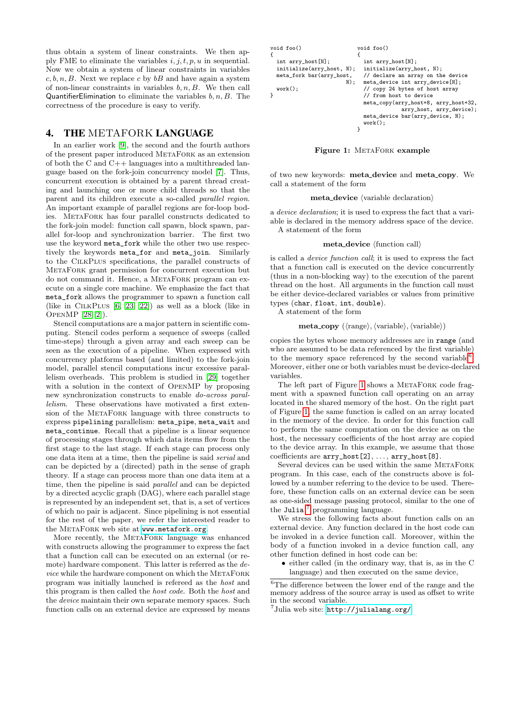thus obtain a system of linear constraints. We then apply FME to eliminate the variables  $i, j, t, p, u$  in sequential. Now we obtain a system of linear constraints in variables  $c, b, n, B$ . Next we replace c by  $bB$  and have again a system of non-linear constraints in variables  $b, n, B$ . We then call QuantifierElimination to eliminate the variables  $b, n, B$ . The correctness of the procedure is easy to verify.

### <span id="page-4-0"></span>4. THE METAFORK LANGUAGE

In an earlier work [\[9\]](#page-9-0), the second and the fourth authors of the present paper introduced MetaFork as an extension of both the C and C++ languages into a multithreaded language based on the fork-join concurrency model [\[7\]](#page-9-4). Thus, concurrent execution is obtained by a parent thread creating and launching one or more child threads so that the parent and its children execute a so-called parallel region. An important example of parallel regions are for-loop bodies. MetaFork has four parallel constructs dedicated to the fork-join model: function call spawn, block spawn, parallel for-loop and synchronization barrier. The first two use the keyword meta\_fork while the other two use respectively the keywords meta\_for and meta\_join. Similarly to the CilkPlus specifications, the parallel constructs of MetaFork grant permission for concurrent execution but do not command it. Hence, a MetaFork program can execute on a single core machine. We emphasize the fact that meta\_fork allows the programmer to spawn a function call (like in CilkPlus [\[6,](#page-9-24) [23,](#page-9-25) [22\]](#page-9-26)) as well as a block (like in OpenMP [\[28,](#page-9-27) [2\]](#page-8-3)).

Stencil computations are a major pattern in scientific computing. Stencil codes perform a sequence of sweeps (called time-steps) through a given array and each sweep can be seen as the execution of a pipeline. When expressed with concurrency platforms based (and limited) to the fork-join model, parallel stencil computations incur excessive parallelism overheads. This problem is studied in [\[29\]](#page-9-28) together with a solution in the context of OpenMP by proposing new synchronization constructs to enable do-across parallelism. These observations have motivated a first extension of the MetaFork language with three constructs to express pipelining parallelism: meta\_pipe, meta\_wait and meta\_continue. Recall that a pipeline is a linear sequence of processing stages through which data items flow from the first stage to the last stage. If each stage can process only one data item at a time, then the pipeline is said serial and can be depicted by a (directed) path in the sense of graph theory. If a stage can process more than one data item at a time, then the pipeline is said parallel and can be depicted by a directed acyclic graph (DAG), where each parallel stage is represented by an independent set, that is, a set of vertices of which no pair is adjacent. Since pipelining is not essential for the rest of the paper, we refer the interested reader to the METAFORK web site at <www.metafork.org>.

More recently, the METAFORK language was enhanced with constructs allowing the programmer to express the fact that a function call can be executed on an external (or remote) hardware component. This latter is referred as the de $vice$  while the hardware component on which the METAFORK program was initially launched is refereed as the host and this program is then called the host code. Both the host and the device maintain their own separate memory spaces. Such function calls on an external device are expressed by means

```
void foo()
{
  int arry_host[N];
  initialize(arry_host, N);
  meta_fork bar(arry_host,
                         \overline{N}):
  work();
}
                             void foo()
                              {
                                int arry_host[N];
                               initialize(arry_host, N);
                                // declare an array on the device
                               meta device int arry device[N]:
                                // copy 24 bytes of host array
                                // from host to device
                               meta_copy(arry_host+8, arry_host+32,
                                            arry_host, arry_device);
                               meta_device bar(arry_device, N);
                                work();
                              }
```
<span id="page-4-2"></span>Figure 1: METAFORK example

of two new keywords: meta device and meta copy. We call a statement of the form

#### $meta\_device$  (variable declaration)

a device declaration; it is used to express the fact that a variable is declared in the memory address space of the device. A statement of the form

#### $meta\_device$  (function call)

is called a device function call; it is used to express the fact that a function call is executed on the device concurrently (thus in a non-blocking way) to the execution of the parent thread on the host. All arguments in the function call must be either device-declared variables or values from primitive types (char, float, int, double).

A statement of the form

#### $\textbf{meta\_copy}$  ( $\langle \text{range} \rangle$ ,  $\langle \text{variable} \rangle$ ,  $\langle \text{variable} \rangle$ )

copies the bytes whose memory addresses are in range (and who are assumed to be data referenced by the first variable) to the memory space referenced by the second variable<sup>[6](#page-4-1)</sup>. Moreover, either one or both variables must be device-declared variables.

The left part of Figure [1](#page-4-2) shows a METAFORK code fragment with a spawned function call operating on an array located in the shared memory of the host. On the right part of Figure [1,](#page-4-2) the same function is called on an array located in the memory of the device. In order for this function call to perform the same computation on the device as on the host, the necessary coefficients of the host array are copied to the device array. In this example, we assume that those coefficients are arry\_host[2], . . . , arry\_host[8].

Several devices can be used within the same METAFORK program. In this case, each of the constructs above is followed by a number referring to the device to be used. Therefore, these function calls on an external device can be seen as one-sided message passing protocol, similar to the one of the Julia<sup>[7](#page-4-3)</sup> programming language.

We stress the following facts about function calls on an external device. Any function declared in the host code can be invoked in a device function call. Moreover, within the body of a function invoked in a device function call, any other function defined in host code can be:

• either called (in the ordinary way, that is, as in the C language) and then executed on the same device,

<span id="page-4-1"></span> ${}^{6}\mathrm{The}$  difference between the lower end of the range and the memory address of the source array is used as offset to write in the second variable.

```
7http://julialang.org/
```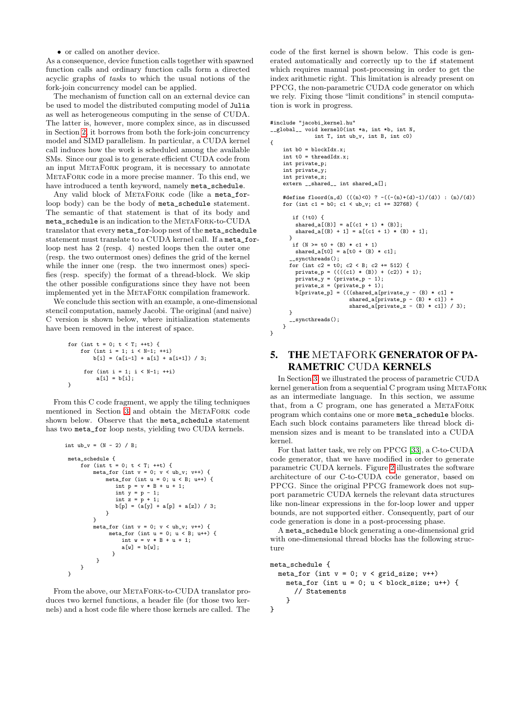#### • or called on another device.

As a consequence, device function calls together with spawned function calls and ordinary function calls form a directed acyclic graphs of tasks to which the usual notions of the fork-join concurrency model can be applied.

The mechanism of function call on an external device can be used to model the distributed computing model of Julia as well as heterogeneous computing in the sense of CUDA. The latter is, however, more complex since, as in discussed in Section [2,](#page-1-0) it borrows from both the fork-join concurrency model and SIMD parallelism. In particular, a CUDA kernel call induces how the work is scheduled among the available SMs. Since our goal is to generate efficient CUDA code from an input MetaFork program, it is necessary to annotate MetaFork code in a more precise manner. To this end, we have introduced a tenth keyword, namely meta\_schedule.

Any valid block of METAFORK code (like a meta\_forloop body) can be the body of meta schedule statement. The semantic of that statement is that of its body and meta\_schedule is an indication to the MetaFork-to-CUDA translator that every meta\_for-loop nest of the meta\_schedule statement must translate to a CUDA kernel call. If a meta\_forloop nest has 2 (resp. 4) nested loops then the outer one (resp. the two outermost ones) defines the grid of the kernel while the inner one (resp. the two innermost ones) specifies (resp. specify) the format of a thread-block. We skip the other possible configurations since they have not been implemented yet in the MetaFork compilation framework.

We conclude this section with an example, a one-dimensional stencil computation, namely Jacobi. The original (and naive) C version is shown below, where initialization statements have been removed in the interest of space.

for (int t = 0; t < T; ++t) { for (int i = 1; i < N-1; ++i) b[i] = (a[i-1] + a[i] + a[i+1]) / 3; for (int i = 1; i < N-1; ++i) a[i] = b[i]; }

From this C code fragment, we apply the tiling techniques mentioned in Section [3](#page-2-0) and obtain the METAFORK code shown below. Observe that the meta\_schedule statement has two meta\_for loop nests, yielding two CUDA kernels.

```
int ub v = (N - 2) / B;
 meta_schedule {
     for (int t = 0; t < T; ++t) {
        meta_for (int v = 0; v < ub_v; v^{++}) {
             meta for (int u = 0; u < B; u++) {
                int p = v * B + u + 1;
                int y = p - 1;
                int z = p + 1;b[p] = (a[y] + a[p] + a[z]) / 3;}
         }
         meta_for (int v = 0; v < ub_v; v^{++}) {
              meta_for (int u = 0; u < B; u++) {
                  int w = v * B + u + 1;
                  a[v] = b[v];
               \mathbf{r}}
    }
}
```
From the above, our METAFORK-to-CUDA translator produces two kernel functions, a header file (for those two kernels) and a host code file where those kernels are called. The

code of the first kernel is shown below. This code is generated automatically and correctly up to the if statement which requires manual post-processing in order to get the index arithmetic right. This limitation is already present on PPCG, the non-parametric CUDA code generator on which we rely. Fixing those "limit conditions" in stencil computation is work in progress.

```
#include "jacobi_kernel.hu"
__global__ void kernel0(int *a, int *b, int N,
                 int T, int ub_v, int B, int c0)
{
     int h0 = h10c F dv = v;
     int +0 = threadIdx \cdot x;
     int private_p;
     int private_y;
     int private_z;
     extern __shared__ int shared_a[];
     #define floord(n,d) (((n)<0) ? -((-(n)+(d)-1)/(d)) : (n)/(d))
for (int c1 = b0; c1 < ub_v; c1 += 32768) {
         if (!t0) {
          shared_a[(B)] = a[(c1 + 1) * (B)];
          shared_a[(B) + 1] = a[(c1 + 1) * (B) + 1];
       }
         if (N \ge 0 + (B) * c1 + 1)shared a[t0] = a[t0 + (B) * c1];
         syncthreads();
        for (int c2 = t0; c2 < B; c2 += 512) {
          private_p = ((((c1) * (B)) + (c2)) + 1);
private_y = (private_p - 1);
          \text{private}_z = (\text{private}_p + 1);b[private_p] = (((shared_a[private_y - (B) * c1] +
shared_a[private_p - (B) * c1]) +
shared_a[private_z - (B) * c1]) / 3);
       }
        __syncthreads();
     }
}
```
## <span id="page-5-0"></span>5. THE METAFORK GENERATOR OF PA-RAMETRIC CUDA KERNELS

In Section [3,](#page-2-0) we illustrated the process of parametric CUDA kernel generation from a sequential C program using METAFORK as an intermediate language. In this section, we assume that, from a C program, one has generated a METAFORK program which contains one or more meta\_schedule blocks. Each such block contains parameters like thread block dimension sizes and is meant to be translated into a CUDA kernel.

For that latter task, we rely on PPCG [\[33\]](#page-9-3), a C-to-CUDA code generator, that we have modified in order to generate parametric CUDA kernels. Figure [2](#page-6-1) illustrates the software architecture of our C-to-CUDA code generator, based on PPCG. Since the original PPCG framework does not support parametric CUDA kernels the relevant data structures like non-linear expressions in the for-loop lower and upper bounds, are not supported either. Consequently, part of our code generation is done in a post-processing phase.

A meta\_schedule block generating a one-dimensional grid with one-dimensional thread blocks has the following structure

```
meta_schedule {
  meta_for (int v = 0; v < grid_size; v++)
    meta_for (int u = 0; u < block_size; u++) {
      // Statements
    }
```
}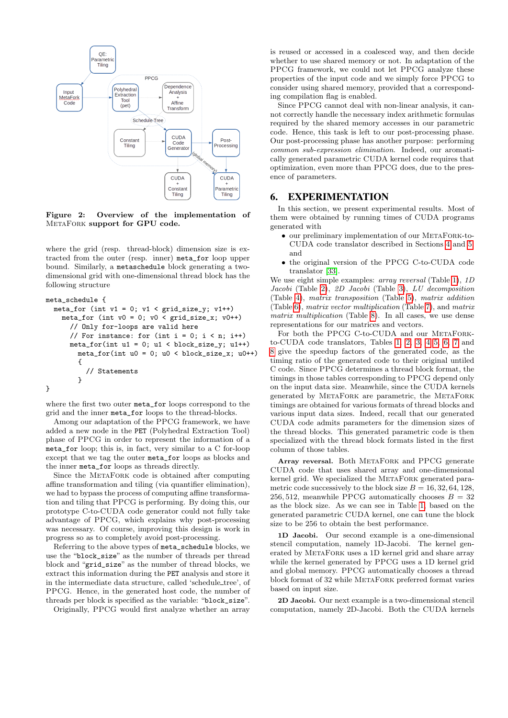

<span id="page-6-1"></span>Figure 2: Overview of the implementation of MetaFork support for GPU code.

where the grid (resp. thread-block) dimension size is extracted from the outer (resp. inner) meta\_for loop upper bound. Similarly, a metaschedule block generating a twodimensional grid with one-dimensional thread block has the following structure

```
meta_schedule {
  meta_for (int v1 = 0; v1 < \text{grid\_size\_y}; v1++)
    meta_for (int v0 = 0; v0 < \text{grid\_size\_x}; v0++)
      // Only for-loops are valid here
      // For instance: for (int i = 0; i < n; i++)meta_for(int u1 = 0; u1 \lt blue \text{block\_size}_y; u1++)
        meta_for(int u0 = 0; u0 < block_size_x; u0++){
           // Statements
         }
}
```
where the first two outer meta\_for loops correspond to the grid and the inner meta\_for loops to the thread-blocks.

Among our adaptation of the PPCG framework, we have added a new node in the PET (Polyhedral Extraction Tool) phase of PPCG in order to represent the information of a meta\_for loop; this is, in fact, very similar to a C for-loop except that we tag the outer meta\_for loops as blocks and the inner meta\_for loops as threads directly.

Since the METAFORK code is obtained after computing affine transformation and tiling (via quantifier elimination), we had to bypass the process of computing affine transformation and tiling that PPCG is performing. By doing this, our prototype C-to-CUDA code generator could not fully take advantage of PPCG, which explains why post-processing was necessary. Of course, improving this design is work in progress so as to completely avoid post-processing.

Referring to the above types of meta\_schedule blocks, we use the "block\_size" as the number of threads per thread block and "grid\_size" as the number of thread blocks, we extract this information during the PET analysis and store it in the intermediate data structure, called 'schedule tree', of PPCG. Hence, in the generated host code, the number of threads per block is specified as the variable: "block\_size".

Originally, PPCG would first analyze whether an array

is reused or accessed in a coalesced way, and then decide whether to use shared memory or not. In adaptation of the PPCG framework, we could not let PPCG analyze these properties of the input code and we simply force PPCG to consider using shared memory, provided that a corresponding compilation flag is enabled.

Since PPCG cannot deal with non-linear analysis, it cannot correctly handle the necessary index arithmetic formulas required by the shared memory accesses in our parametric code. Hence, this task is left to our post-processing phase. Our post-processing phase has another purpose: performing common sub-expression elimination. Indeed, our aromatically generated parametric CUDA kernel code requires that optimization, even more than PPCG does, due to the presence of parameters.

### <span id="page-6-0"></span>6. EXPERIMENTATION

In this section, we present experimental results. Most of them were obtained by running times of CUDA programs generated with

- our preliminary implementation of our METAFORK-to-CUDA code translator described in Sections [4](#page-4-0) and [5,](#page-5-0) and
- the original version of the PPCG C-to-CUDA code translator [\[33\]](#page-9-3).

We use eight simple examples: *array reversal* (Table [1\)](#page-7-0), 1D Jacobi (Table [2\)](#page-7-1), 2D Jacobi (Table [3\)](#page-7-2), LU decomposition (Table [4\)](#page-7-3), matrix transposition (Table [5\)](#page-8-4), matrix addition (Table [6\)](#page-8-5), matrix vector multiplication (Table [7\)](#page-8-6), and matrix matrix multiplication (Table [8\)](#page-8-7). In all cases, we use dense representations for our matrices and vectors.

For both the PPCG C-to-CUDA and our METAFORKto-CUDA code translators, Tables [1,](#page-7-0) [2,](#page-7-1) [3,](#page-7-2) [4](#page-7-3) [5,](#page-8-4) [6,](#page-8-5) [7](#page-8-6) and [8](#page-8-7) give the speedup factors of the generated code, as the timing ratio of the generated code to their original untiled C code. Since PPCG determines a thread block format, the timings in those tables corresponding to PPCG depend only on the input data size. Meanwhile, since the CUDA kernels generated by MetaFork are parametric, the MetaFork timings are obtained for various formats of thread blocks and various input data sizes. Indeed, recall that our generated CUDA code admits parameters for the dimension sizes of the thread blocks. This generated parametric code is then specialized with the thread block formats listed in the first column of those tables.

Array reversal. Both METAFORK and PPCG generate CUDA code that uses shared array and one-dimensional kernel grid. We specialized the METAFORK generated parametric code successively to the block size  $B = 16, 32, 64, 128$ , 256, 512, meanwhile PPCG automatically chooses  $B = 32$ as the block size. As we can see in Table [1,](#page-7-0) based on the generated parametric CUDA kernel, one can tune the block size to be 256 to obtain the best performance.

1D Jacobi. Our second example is a one-dimensional stencil computation, namely 1D-Jacobi. The kernel generated by METAFORK uses a 1D kernel grid and share array while the kernel generated by PPCG uses a 1D kernel grid and global memory. PPCG automatically chooses a thread block format of 32 while METAFORK preferred format varies based on input size.

2D Jacobi. Our next example is a two-dimensional stencil computation, namely 2D-Jacobi. Both the CUDA kernels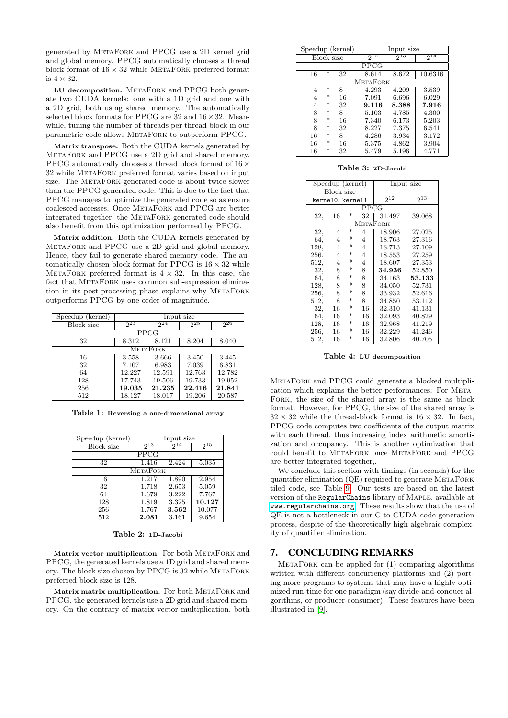generated by MetaFork and PPCG use a 2D kernel grid and global memory. PPCG automatically chooses a thread block format of  $16 \times 32$  while METAFORK preferred format is  $4 \times 32$ .

LU decomposition. METAFORK and PPCG both generate two CUDA kernels: one with a 1D grid and one with a 2D grid, both using shared memory. The automatically selected block formats for PPCG are 32 and  $16 \times 32$ . Meanwhile, tuning the number of threads per thread block in our parametric code allows METAFORK to outperform PPCG.

Matrix transpose. Both the CUDA kernels generated by MetaFork and PPCG use a 2D grid and shared memory. PPCG automatically chooses a thread block format of  $16 \times$ 32 while MetaFork preferred format varies based on input size. The METAFORK-generated code is about twice slower than the PPCG-generated code. This is due to the fact that PPCG manages to optimize the generated code so as ensure coalesced accesses. Once MetaFork and PPCG are better integrated together, the METAFORK-generated code should also benefit from this optimization performed by PPCG.

Matrix addition. Both the CUDA kernels generated by MetaFork and PPCG use a 2D grid and global memory. Hence, they fail to generate shared memory code. The automatically chosen block format for PPCG is  $16 \times 32$  while METAFORK preferred format is  $4 \times 32$ . In this case, the fact that METAFORK uses common sub-expression elimination in its post-processing phase explains why METAFORK outperforms PPCG by one order of magnitude.

| Speedup (kernel) | Input size |                 |          |        |  |
|------------------|------------|-----------------|----------|--------|--|
| Block size       | 223        | $2^{24}$        | $2^{25}$ | 26     |  |
|                  |            | PPCG            |          |        |  |
| 32               | 8.312      | 8.121           | 8.204    | 8.040  |  |
|                  |            | <b>METAFORK</b> |          |        |  |
| 16               | 3.558      | 3.666           | 3.450    | 3.445  |  |
| 32               | 7.107      | 6.983           | 7.039    | 6.831  |  |
| 64               | 12.227     | 12.591          | 12.763   | 12.782 |  |
| 128              | 17.743     | 19.506          | 19.733   | 19.952 |  |
| 256              | 19.035     | 21.235          | 22.416   | 21.841 |  |
| 512              | 18.127     | 18.017          | 19.206   | 20.587 |  |

<span id="page-7-0"></span>Table 1: Reversing a one-dimensional array

| Speedup (kernel) |             | Input size |          |  |  |  |  |  |
|------------------|-------------|------------|----------|--|--|--|--|--|
| Block size       | $2^{13}$    | 214        | $2^{15}$ |  |  |  |  |  |
|                  | <b>PPCG</b> |            |          |  |  |  |  |  |
| 32               | 1.416       | 2.424      | 5.035    |  |  |  |  |  |
| <b>METAFORK</b>  |             |            |          |  |  |  |  |  |
| 16               | 1.217       | 1.890      | 2.954    |  |  |  |  |  |
| 32               | 1.718       | 2.653      | 5.059    |  |  |  |  |  |
| 64               | 1.679       | 3.222      | 7.767    |  |  |  |  |  |
| 128              | 1.819       | 3.325      | 10.127   |  |  |  |  |  |
| 256              | 1.767       | 3.562      | 10.077   |  |  |  |  |  |
| 512              | 2.081       | 3.161      | 9.654    |  |  |  |  |  |

#### <span id="page-7-1"></span>Table 2: 1D-Jacobi

Matrix vector multiplication. For both METAFORK and PPCG, the generated kernels use a 1D grid and shared memory. The block size chosen by PPCG is 32 while MetaFork preferred block size is 128.

Matrix matrix multiplication. For both METAFORK and PPCG, the generated kernels use a 2D grid and shared memory. On the contrary of matrix vector multiplication, both

| Speedup (kernel) |        |    | Input size      |          |          |
|------------------|--------|----|-----------------|----------|----------|
| Block size       |        |    | $2^{12}$        | $2^{13}$ | $2^{14}$ |
|                  |        |    | <b>PPCG</b>     |          |          |
| 16               | ∗      | 32 | 8.614           | 8.672    | 10.6316  |
|                  |        |    | <b>METAFORK</b> |          |          |
| 4                | $\ast$ | 8  | 4.293           | 4.209    | 3.539    |
| 4                | $\ast$ | 16 | 7.091           | 6.696    | 6.029    |
| 4                | $\ast$ | 32 | 9.116           | 8.388    | 7.916    |
| 8                | $\ast$ | 8  | 5.103           | 4.785    | 4.300    |
| 8                | $\ast$ | 16 | 7.340           | 6.173    | 5.203    |
| 8                | $\ast$ | 32 | 8.227           | 7.375    | 6.541    |
| 16               | $\ast$ | 8  | 4.286           | 3.934    | 3.172    |
| 16               | $\ast$ | 16 | 5.375           | 4.862    | 3.904    |
| 16               | $\ast$ | 32 | 5.479           | 5.196    | 4.771    |

<span id="page-7-2"></span>Table 3: 2D-Jacobi

| Speedup (kernel) |                | Input size |                 |          |          |
|------------------|----------------|------------|-----------------|----------|----------|
| Block size       |                |            |                 |          |          |
| kernel0, kernel1 |                |            |                 | $2^{12}$ | $2^{13}$ |
|                  |                |            | PPCG            |          |          |
| 32,              | 16             | ∗          | 32              | 31.497   | 39.068   |
|                  |                |            | <b>METAFORK</b> |          |          |
| 32,              | 4              | ₮          | 4               | 18.906   | 27.025   |
| 64,              | $\overline{4}$ | $\ast$     | $\overline{4}$  | 18.763   | 27.316   |
| 128,             | $\overline{4}$ | $\ast$     | 4               | 18.713   | 27.109   |
| 256.             | 4              | $\ast$     | 4               | 18.553   | 27.259   |
| 512,             | 4              | $\ast$     | 4               | 18.607   | 27.353   |
| 32,              | 8              | $\ast$     | 8               | 34.936   | 52.850   |
| 64.              | 8              | $\ast$     | 8               | 34.163   | 53.133   |
| 128,             | 8              | $\ast$     | 8               | 34.050   | 52.731   |
| 256,             | 8              | $\ast$     | 8               | 33.932   | 52.616   |
| 512,             | 8              | $\ast$     | 8               | 34.850   | 53.112   |
| 32,              | 16             | $\ast$     | 16              | 32.310   | 41.131   |
| 64,              | 16             | $\ast$     | 16              | 32.093   | 40.829   |
| 128,             | 16             | $\ast$     | 16              | 32.968   | 41.219   |
| 256.             | 16             | $\ast$     | 16              | 32.229   | 41.246   |
| 512,             | 16             | $\ast$     | 16              | 32.806   | 40.705   |

<span id="page-7-3"></span>Table 4: LU decomposition

MetaFork and PPCG could generate a blocked multiplication which explains the better performances. For META-Fork, the size of the shared array is the same as block format. However, for PPCG, the size of the shared array is  $32 \times 32$  while the thread-block format is  $16 \times 32$ . In fact, PPCG code computes two coefficients of the output matrix with each thread, thus increasing index arithmetic amortization and occupancy. This is another optimization that could benefit to MetaFork once MetaFork and PPCG are better integrated together,.

We conclude this section with timings (in seconds) for the quantifier elimination (QE) required to generate METAFORK tiled code, see Table [9.](#page-8-8) Our tests are based on the latest version of the RegularChains library of Maple, available at <www.regularchains.org>. These results show that the use of QE is not a bottleneck in our C-to-CUDA code generation process, despite of the theoretically high algebraic complexity of quantifier elimination.

### 7. CONCLUDING REMARKS

 $METAFORK$  can be applied for  $(1)$  comparing algorithms written with different concurrency platforms and (2) porting more programs to systems that may have a highly optimized run-time for one paradigm (say divide-and-conquer algorithms, or producer-consumer). These features have been illustrated in [\[9\]](#page-9-0).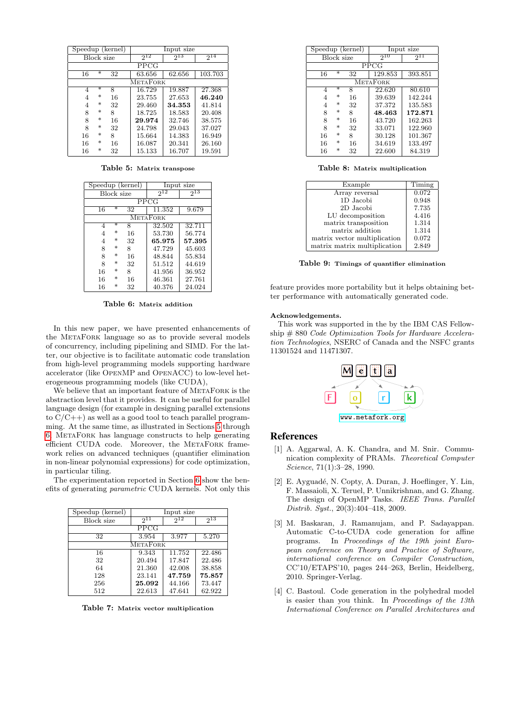| Speedup (kernel) |        |    |          | Input size |          |
|------------------|--------|----|----------|------------|----------|
| Block size       |        |    | $2^{12}$ | $2^{13}$   | $2^{14}$ |
| PPCG             |        |    |          |            |          |
| 16               | ₮      | 32 | 63.656   | 62.656     | 103.703  |
| <b>METAFORK</b>  |        |    |          |            |          |
| 4                | $\ast$ | 8  | 16.729   | 19.887     | 27.368   |
| 4                | $\ast$ | 16 | 23.755   | 27.653     | 46.240   |
| 4                | $\ast$ | 32 | 29.460   | 34.353     | 41.814   |
| 8                | $\ast$ | 8  | 18.725   | 18.583     | 20.408   |
| 8                | $\ast$ | 16 | 29.974   | 32.746     | 38.575   |
| 8                | $\ast$ | 32 | 24.798   | 29.043     | 37.027   |
| 16               | $\ast$ | 8  | 15.664   | 14.383     | 16.949   |
| 16               | $\ast$ | 16 | 16.087   | 20.341     | 26.160   |
| 16               | $\ast$ | 32 | 15.133   | 16.707     | 19.591   |

<span id="page-8-4"></span>Table 5: Matrix transpose

| Speedup (kernel) |            | Input size |          |          |
|------------------|------------|------------|----------|----------|
|                  | Block size |            | $2^{12}$ | $2^{13}$ |
|                  |            |            | PPCG     |          |
| 16               | ⋇          | 32         | 11.352   | 9.679    |
| <b>METAFORK</b>  |            |            |          |          |
| 4                | $\ast$     | 8          | 32.502   | 32.711   |
| 4                | $\ast$     | 16         | 53.730   | 56.774   |
| 4                | $\ast$     | 32         | 65.975   | 57.395   |
| 8                | $\ast$     | 8          | 47.729   | 45.603   |
| 8                | $\ast$     | 16         | 48.844   | 55.834   |
| 8                | $\ast$     | 32         | 51.512   | 44.619   |
| 16               | $\ast$     | 8          | 41.956   | 36.952   |
| 16               | $\ast$     | 16         | 46.361   | 27.761   |
| 16               | $\ast$     | 32         | 40.376   | 24.024   |

<span id="page-8-5"></span>Table 6: Matrix addition

In this new paper, we have presented enhancements of the MetaFork language so as to provide several models of concurrency, including pipelining and SIMD. For the latter, our objective is to facilitate automatic code translation from high-level programming models supporting hardware accelerator (like OpenMP and OpenACC) to low-level heterogeneous programming models (like CUDA),

We believe that an important feature of METAFORK is the abstraction level that it provides. It can be useful for parallel language design (for example in designing parallel extensions to  $C/C++$ ) as well as a good tool to teach parallel programming. At the same time, as illustrated in Sections [5](#page-5-0) through [6,](#page-6-0) MetaFork has language constructs to help generating efficient CUDA code. Moreover, the METAFORK framework relies on advanced techniques (quantifier elimination in non-linear polynomial expressions) for code optimization, in particular tiling.

The experimentation reported in Section [6](#page-6-0) show the benefits of generating parametric CUDA kernels. Not only this

| Speedup (kernel)  |                 | Input size |          |  |  |  |  |
|-------------------|-----------------|------------|----------|--|--|--|--|
| <b>Block</b> size | $2^{11}$        | $2^{12}$   | $2^{13}$ |  |  |  |  |
|                   | <b>PPCG</b>     |            |          |  |  |  |  |
| 32                | 3.954           | 3.977      | 5.270    |  |  |  |  |
|                   | <b>METAFORK</b> |            |          |  |  |  |  |
| 16                | 9.343           | 11.752     | 22.486   |  |  |  |  |
| 32                | 20.494          | 17.847     | 22.486   |  |  |  |  |
| 64                | 21.360          | 42.008     | 38.858   |  |  |  |  |
| 128               | 23.141          | 47.759     | 75.857   |  |  |  |  |
| 256               | 25.092          | 44.166     | 73.447   |  |  |  |  |
| 512               | 22.613          | 47.641     | 62.922   |  |  |  |  |

<span id="page-8-6"></span>Table 7: Matrix vector multiplication

| Speedup (kernel) |            | Input size |          |          |
|------------------|------------|------------|----------|----------|
|                  | Block size |            | $2^{10}$ | $2^{11}$ |
|                  |            |            | PPCG     |          |
| 16               | ₮          | 32         | 129.853  | 393.851  |
| <b>METAFORK</b>  |            |            |          |          |
| 4                | $\ast$     | 8          | 22.620   | 80.610   |
| 4                | $\ast$     | 16         | 39.639   | 142.244  |
| 4                | $\ast$     | 32         | 37.372   | 135.583  |
| 8                | $\ast$     | 8          | 48.463   | 172.871  |
| 8                | $\ast$     | 16         | 43.720   | 162.263  |
| 8                | $\ast$     | 32         | 33.071   | 122.960  |
| 16               | $\ast$     | 8          | 30.128   | 101.367  |
| 16               | $\ast$     | 16         | 34.619   | 133.497  |
| 16               | $\ast$     | 32         | 22.600   | 84.319   |

<span id="page-8-7"></span>Table 8: Matrix multiplication

| Example                      | Timing |
|------------------------------|--------|
| Array reversal               | 0.072  |
| 1D Jacobi                    | 0.948  |
| 2D Jacobi                    | 7.735  |
| LU decomposition             | 4.416  |
| matrix transposition         | 1.314  |
| matrix addition              | 1.314  |
| matrix vector multiplication | 0.072  |
| matrix matrix multiplication | 2.849  |

<span id="page-8-8"></span>Table 9: Timings of quantifier elimination

feature provides more portability but it helps obtaining better performance with automatically generated code.

#### Acknowledgements.

This work was supported in the by the IBM CAS Fellowship  $\#$  880 Code Optimization Tools for Hardware Acceleration Technologies, NSERC of Canada and the NSFC grants 11301524 and 11471307.



#### References

- <span id="page-8-0"></span>[1] A. Aggarwal, A. K. Chandra, and M. Snir. Communication complexity of PRAMs. Theoretical Computer Science, 71(1):3–28, 1990.
- <span id="page-8-3"></span>[2] E. Ayguadé, N. Copty, A. Duran, J. Hoeflinger, Y. Lin, F. Massaioli, X. Teruel, P. Unnikrishnan, and G. Zhang. The design of OpenMP Tasks. IEEE Trans. Parallel Distrib. Syst., 20(3):404–418, 2009.
- <span id="page-8-1"></span>[3] M. Baskaran, J. Ramanujam, and P. Sadayappan. Automatic C-to-CUDA code generation for affine programs. In Proceedings of the 19th joint European conference on Theory and Practice of Software, international conference on Compiler Construction, CC'10/ETAPS'10, pages 244–263, Berlin, Heidelberg, 2010. Springer-Verlag.
- <span id="page-8-2"></span>[4] C. Bastoul. Code generation in the polyhedral model is easier than you think. In Proceedings of the 13th International Conference on Parallel Architectures and